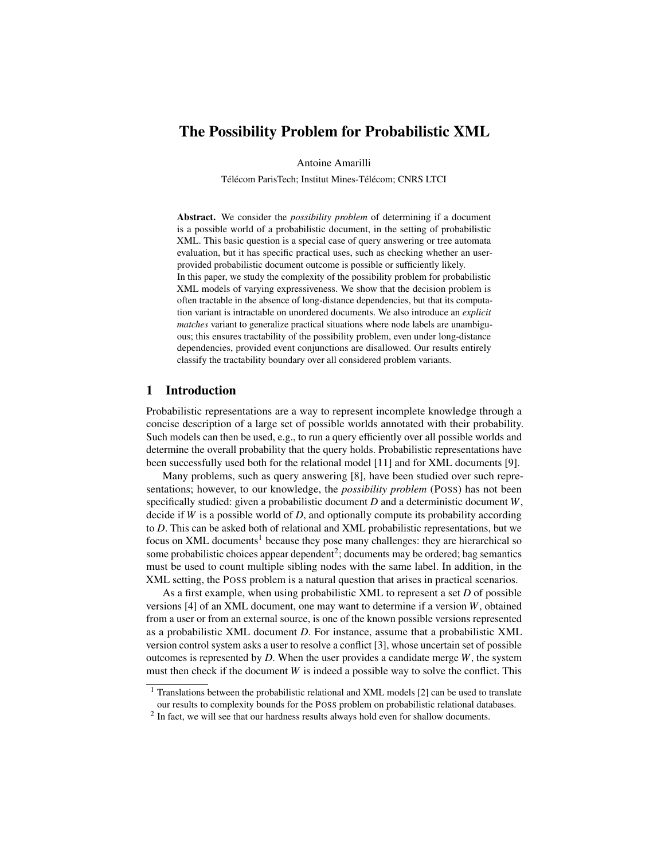# The Possibility Problem for Probabilistic XML

Antoine Amarilli

Télécom ParisTech; Institut Mines-Télécom; CNRS LTCI

Abstract. We consider the *possibility problem* of determining if a document is a possible world of a probabilistic document, in the setting of probabilistic XML. This basic question is a special case of query answering or tree automata evaluation, but it has specific practical uses, such as checking whether an userprovided probabilistic document outcome is possible or sufficiently likely. In this paper, we study the complexity of the possibility problem for probabilistic XML models of varying expressiveness. We show that the decision problem is often tractable in the absence of long-distance dependencies, but that its computation variant is intractable on unordered documents. We also introduce an *explicit matches* variant to generalize practical situations where node labels are unambiguous; this ensures tractability of the possibility problem, even under long-distance dependencies, provided event conjunctions are disallowed. Our results entirely classify the tractability boundary over all considered problem variants.

# 1 Introduction

Probabilistic representations are a way to represent incomplete knowledge through a concise description of a large set of possible worlds annotated with their probability. Such models can then be used, e.g., to run a query efficiently over all possible worlds and determine the overall probability that the query holds. Probabilistic representations have been successfully used both for the relational model [\[11\]](#page-5-0) and for XML documents [\[9\]](#page-5-1).

Many problems, such as query answering [\[8\]](#page-5-2), have been studied over such representations; however, to our knowledge, the *possibility problem* (POSS) has not been specifically studied: given a probabilistic document *D* and a deterministic document *W*, decide if *W* is a possible world of *D*, and optionally compute its probability according to *D*. This can be asked both of relational and XML probabilistic representations, but we focus on XML documents<sup>[1](#page-0-0)</sup> because they pose many challenges: they are hierarchical so some probabilistic choices appear dependent<sup>[2](#page-0-1)</sup>; documents may be ordered; bag semantics must be used to count multiple sibling nodes with the same label. In addition, in the XML setting, the POSS problem is a natural question that arises in practical scenarios.

As a first example, when using probabilistic XML to represent a set *D* of possible versions [\[4\]](#page-5-3) of an XML document, one may want to determine if a version *W*, obtained from a user or from an external source, is one of the known possible versions represented as a probabilistic XML document *D*. For instance, assume that a probabilistic XML version control system asks a user to resolve a conflict [\[3\]](#page-5-4), whose uncertain set of possible outcomes is represented by *D*. When the user provides a candidate merge *W*, the system must then check if the document *W* is indeed a possible way to solve the conflict. This

<span id="page-0-0"></span><sup>&</sup>lt;sup>1</sup> Translations between the probabilistic relational and XML models [\[2\]](#page-5-5) can be used to translate our results to complexity bounds for the POSS problem on probabilistic relational databases.

<span id="page-0-1"></span> $2$  In fact, we will see that our hardness results always hold even for shallow documents.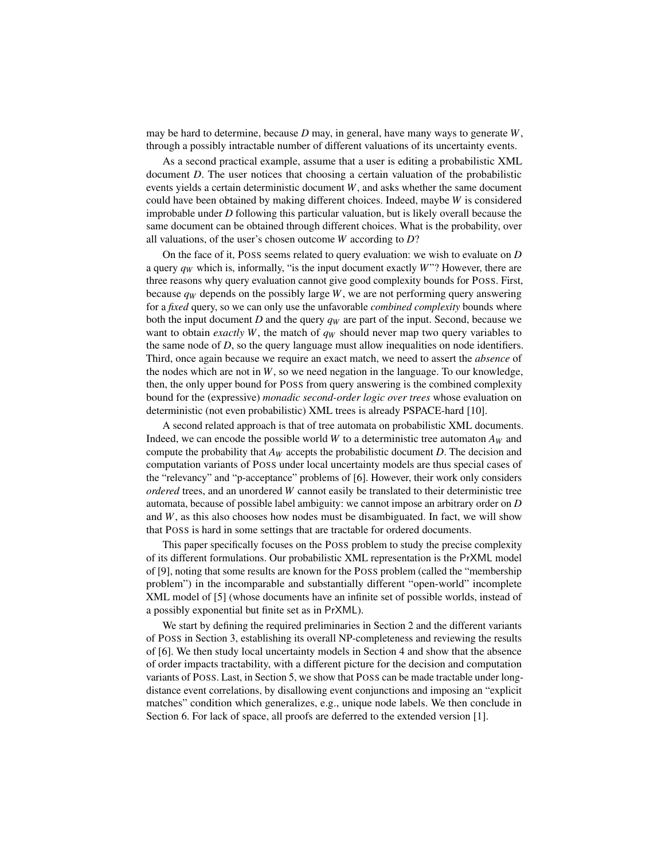may be hard to determine, because *D* may, in general, have many ways to generate *W*, through a possibly intractable number of different valuations of its uncertainty events.

As a second practical example, assume that a user is editing a probabilistic XML document *D*. The user notices that choosing a certain valuation of the probabilistic events yields a certain deterministic document *W*, and asks whether the same document could have been obtained by making different choices. Indeed, maybe *W* is considered improbable under *D* following this particular valuation, but is likely overall because the same document can be obtained through different choices. What is the probability, over all valuations, of the user's chosen outcome *W* according to *D*?

On the face of it, POSS seems related to query evaluation: we wish to evaluate on *D* a query  $q_W$  which is, informally, "is the input document exactly  $W$ "? However, there are three reasons why query evaluation cannot give good complexity bounds for POSS. First, because  $q_W$  depends on the possibly large *W*, we are not performing query answering for a *fixed* query, so we can only use the unfavorable *combined complexity* bounds where both the input document *D* and the query *q<sup>W</sup>* are part of the input. Second, because we want to obtain *exactly W*, the match of *q<sup>W</sup>* should never map two query variables to the same node of *D*, so the query language must allow inequalities on node identifiers. Third, once again because we require an exact match, we need to assert the *absence* of the nodes which are not in  $W$ , so we need negation in the language. To our knowledge, then, the only upper bound for POSS from query answering is the combined complexity bound for the (expressive) *monadic second-order logic over trees* whose evaluation on deterministic (not even probabilistic) XML trees is already PSPACE-hard [\[10\]](#page-5-6).

A second related approach is that of tree automata on probabilistic XML documents. Indeed, we can encode the possible world *W* to a deterministic tree automaton  $A_W$  and compute the probability that *A<sup>W</sup>* accepts the probabilistic document *D*. The decision and computation variants of POSS under local uncertainty models are thus special cases of the "relevancy" and "p-acceptance" problems of [\[6\]](#page-5-7). However, their work only considers *ordered* trees, and an unordered *W* cannot easily be translated to their deterministic tree automata, because of possible label ambiguity: we cannot impose an arbitrary order on *D* and  $W$ , as this also chooses how nodes must be disambiguated. In fact, we will show that POSS is hard in some settings that are tractable for ordered documents.

This paper specifically focuses on the POSS problem to study the precise complexity of its different formulations. Our probabilistic XML representation is the PrXML model of [\[9\]](#page-5-1), noting that some results are known for the POSS problem (called the "membership problem") in the incomparable and substantially different "open-world" incomplete XML model of [\[5\]](#page-5-8) (whose documents have an infinite set of possible worlds, instead of a possibly exponential but finite set as in PrXML).

We start by defining the required preliminaries in Section [2](#page-2-0) and the different variants of POSS in Section [3,](#page-3-0) establishing its overall NP-completeness and reviewing the results of [\[6\]](#page-5-7). We then study local uncertainty models in Section [4](#page-3-1) and show that the absence of order impacts tractability, with a different picture for the decision and computation variants of POSS. Last, in Section [5,](#page-4-0) we show that POSS can be made tractable under longdistance event correlations, by disallowing event conjunctions and imposing an "explicit matches" condition which generalizes, e.g., unique node labels. We then conclude in Section [6.](#page-5-9) For lack of space, all proofs are deferred to the extended version [\[1\]](#page-5-10).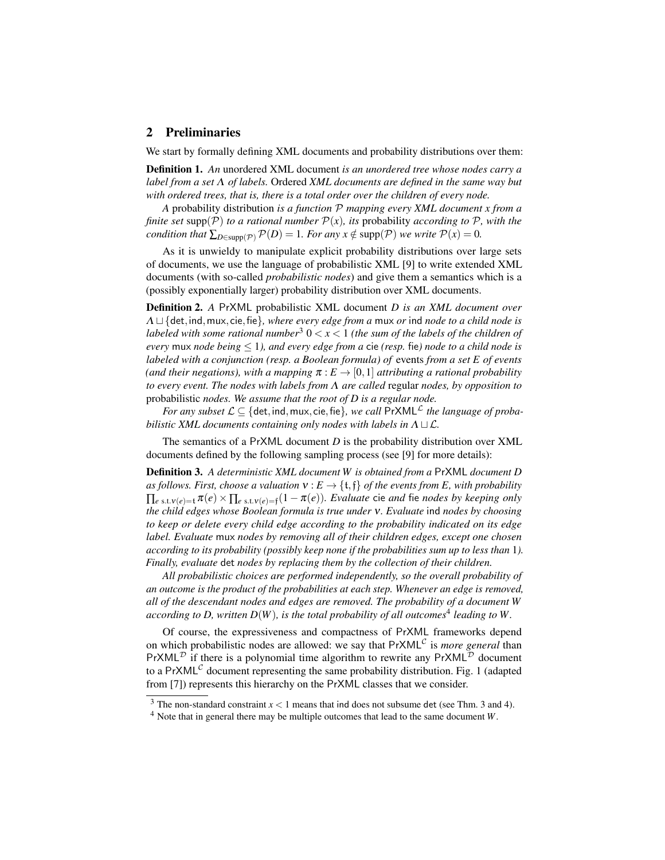# <span id="page-2-0"></span>2 Preliminaries

We start by formally defining XML documents and probability distributions over them:

Definition 1. *An* unordered XML document *is an unordered tree whose nodes carry a label from a set* Λ *of labels.* Ordered *XML documents are defined in the same way but with ordered trees, that is, there is a total order over the children of every node.*

*A* probability distribution *is a function* P *mapping every XML document x from a finite set* supp( $P$ ) *to a rational number*  $P(x)$ *, its probability according to*  $P$ *, with the condition that*  $\sum_{D \in \text{supp}(\mathcal{P})} \mathcal{P}(D) = 1$ *. For any x*  $\notin \text{supp}(\mathcal{P})$  *we write*  $\mathcal{P}(x) = 0$ *.* 

As it is unwieldy to manipulate explicit probability distributions over large sets of documents, we use the language of probabilistic XML [\[9\]](#page-5-1) to write extended XML documents (with so-called *probabilistic nodes*) and give them a semantics which is a (possibly exponentially larger) probability distribution over XML documents.

Definition 2. *A* PrXML probabilistic XML document *D is an XML document over* Λ t {det,ind,mux, cie,fie}*, where every edge from a* mux *or* ind *node to a child node is labeled with some rational number*<sup>[3](#page-2-1)</sup>  $0 < x < 1$  *(the sum of the labels of the children of every* mux *node being* ≤ 1*), and every edge from a* cie *(resp.* fie*) node to a child node is labeled with a conjunction (resp. a Boolean formula) of* events *from a set E of events (and their negations), with a mapping*  $\pi : E \rightarrow [0,1]$  *attributing a rational probability to every event. The nodes with labels from* Λ *are called* regular *nodes, by opposition to* probabilistic *nodes. We assume that the root of D is a regular node.*

*For any subset*  $\mathcal{L} \subseteq \{ \text{det}, \text{ind}, \text{mux}, \text{cie}, \text{fie} \}$ , we call  $\text{PrXML}^{\mathcal{L}}$  the language of proba*bilistic XML documents containing only nodes with labels in*  $\Lambda \sqcup \mathcal{L}$ .

The semantics of a PrXML document *D* is the probability distribution over XML documents defined by the following sampling process (see [\[9\]](#page-5-1) for more details):

Definition 3. *A deterministic XML document W is obtained from a* PrXML *document D as follows. First, choose a valuation*  $v : E \to \{t, f\}$  *of the events from E, with probability*  $\prod_{e \text{ s.t. } v(e) = t} \pi(e) \times \prod_{e \text{ s.t. } v(e) = \mathfrak{f}} (1 - \pi(e)).$  Evaluate cie and fie nodes by keeping only *the child edges whose Boolean formula is true under* ν*. Evaluate* ind *nodes by choosing to keep or delete every child edge according to the probability indicated on its edge label. Evaluate* mux *nodes by removing all of their children edges, except one chosen according to its probability (possibly keep none if the probabilities sum up to less than* 1*). Finally, evaluate* det *nodes by replacing them by the collection of their children.*

*All probabilistic choices are performed independently, so the overall probability of an outcome is the product of the probabilities at each step. Whenever an edge is removed, all of the descendant nodes and edges are removed. The probability of a document W* according to D, written  $D(W)$ , is the total probability of all outcomes<sup>[4](#page-2-2)</sup> leading to W.

Of course, the expressiveness and compactness of PrXML frameworks depend on which probabilistic nodes are allowed: we say that PrXML<sup>C</sup> is *more general* than PrXML<sup>D</sup> if there is a polynomial time algorithm to rewrite any PrXML<sup>D</sup> document to a PrXML<sup>C</sup> document representing the same probability distribution. Fig. [1](#page-3-2) (adapted from [\[7\]](#page-5-11)) represents this hierarchy on the PrXML classes that we consider.

<span id="page-2-1"></span><sup>&</sup>lt;sup>3</sup> The non-standard constraint  $x < 1$  means that ind does not subsume det (see Thm. [3](#page-3-3) and [4\)](#page-3-4).

<span id="page-2-2"></span><sup>4</sup> Note that in general there may be multiple outcomes that lead to the same document *W*.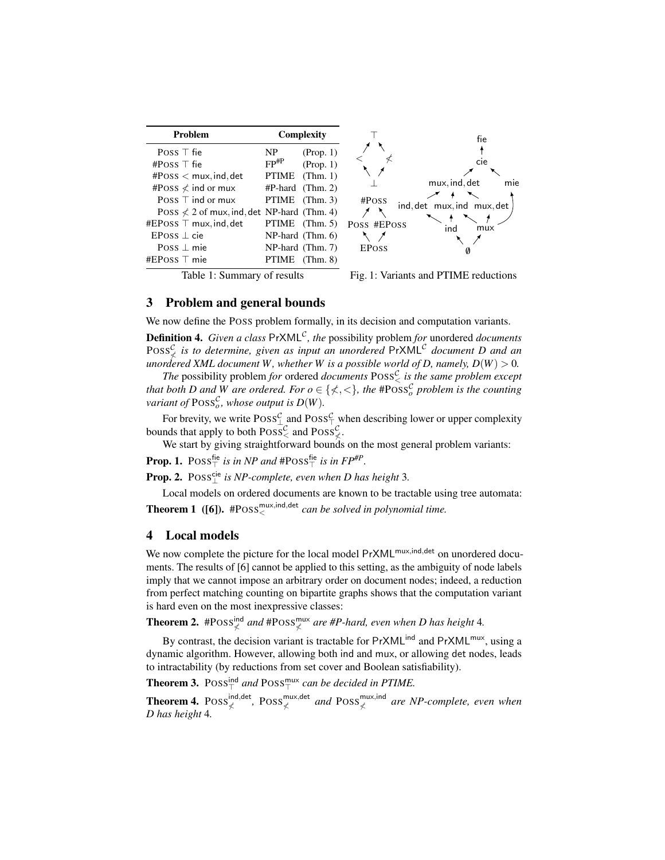<span id="page-3-2"></span>

| Problem                                              | Complexity         |                                 |              | fie                        |
|------------------------------------------------------|--------------------|---------------------------------|--------------|----------------------------|
| Poss $\top$ fie                                      | NP                 | (Prop. 1)                       |              | cie                        |
| #Poss $\top$ fie                                     | $FP$ <sup>#P</sup> | (Prop. 1)                       |              |                            |
| $#Poss <$ mux, ind, det<br>#Poss $\angle$ ind or mux | <b>PTIME</b>       | (Thm. 1)<br>$#P$ -hard (Thm. 2) |              | mie<br>mux, ind, det       |
| POSS $\top$ ind or mux                               |                    | PTIME (Thm. 3)                  | #Poss        |                            |
| Poss $\angle$ 2 of mux, ind, det NP-hard (Thm. 4)    |                    |                                 |              | ind, det mux, ind mux, det |
| #EPOSS $\top$ mux, ind, det                          |                    | PTIME $(Thm. 5)$                | Poss #EPoss  | ind<br>mux                 |
| $EPoss \perp cie$                                    |                    | $NP$ -hard (Thm. 6)             |              |                            |
| Poss $\perp$ mie                                     |                    | NP-hard (Thm. 7)                | <b>EPOSS</b> | Ø                          |
| #EPoss $\top$ mie                                    | <b>PTIME</b>       | (Thm. 8)                        |              |                            |

Table 1: Summary of results



#### <span id="page-3-0"></span>3 Problem and general bounds

We now define the POSS problem formally, in its decision and computation variants.

**Definition 4.** *Given a class* PrXML<sup>C</sup>, the possibility problem *for* unordered *documents*  $Poss^{\mathcal{C}}_{\nless}$  *is to determine, given as input an unordered*  $PrXML^{\mathcal{C}}$  *document D and an unordered XML document W, whether W is a possible world of D, namely,*  $D(W) > 0$ *.* 

*The* possibility problem *for* ordered *documents*  $Poss^{\mathcal{C}}_{\leq}$  *is the same problem except that both D* and *W* are ordered. For  $o \in \{ \measuredangle, < \}$ , the #POSS<sub>o</sub> problem is the counting *variant of*  $\text{Poiss}_{o}^{\mathcal{C}}$ *, whose output is*  $D(W)$ *.* 

For brevity, we write  $Poss_{\perp}^{\mathcal{C}}$  and  $Poss_{\top}^{\mathcal{C}}$  when describing lower or upper complexity bounds that apply to both  $\text{Poss}^{\mathcal{C}}_{\leq}$  and  $\text{Poss}^{\mathcal{C}}_{\leq}$ .

We start by giving straightforward bounds on the most general problem variants:

<span id="page-3-5"></span>**Prop. 1.**  $Poss_{\top}^{\text{fie}}$  is in NP and  $\text{#Poss}_{\top}^{\text{fie}}$  is in  $FP^{\text{#P}}$ .

**Prop. 2.** POSS∟<sup>cie</sup> is NP-complete, even when D has height 3.

<span id="page-3-6"></span>Local models on ordered documents are known to be tractable using tree automata: **Theorem 1** ([\[6\]](#page-5-7)).  $#Poss<sub>0</sub><sup>mutx,ind,det</sup> can be solved in polynomial time.$ 

#### <span id="page-3-1"></span>4 Local models

We now complete the picture for the local model PrXML<sup>mux,ind,det</sup> on unordered documents. The results of [\[6\]](#page-5-7) cannot be applied to this setting, as the ambiguity of node labels imply that we cannot impose an arbitrary order on document nodes; indeed, a reduction from perfect matching counting on bipartite graphs shows that the computation variant is hard even on the most inexpressive classes:

<span id="page-3-7"></span>**Theorem 2.** #POSS ${}_{\nless}^{\text{ind}}$  and #POSS ${}_{\nless}^{\text{mix}}$  are #P-hard, even when D has height 4.

By contrast, the decision variant is tractable for  $PrXML<sup>ind</sup>$  and  $PrXML<sup>mut</sup>$ , using a dynamic algorithm. However, allowing both ind and mux, or allowing det nodes, leads to intractability (by reductions from set cover and Boolean satisfiability).

<span id="page-3-3"></span>**Theorem 3.**  $Poss_{\top}^{\text{ind}}$  and  $Poss_{\top}^{\text{mix}}$  can be decided in PTIME.

<span id="page-3-4"></span>**Theorem 4.** POSS<sup>ind,det</sup>, POSS<sup>mux,det</sup> and POSS<sup>mux,ind</sup> are NP-complete, even when *D has height* 4*.*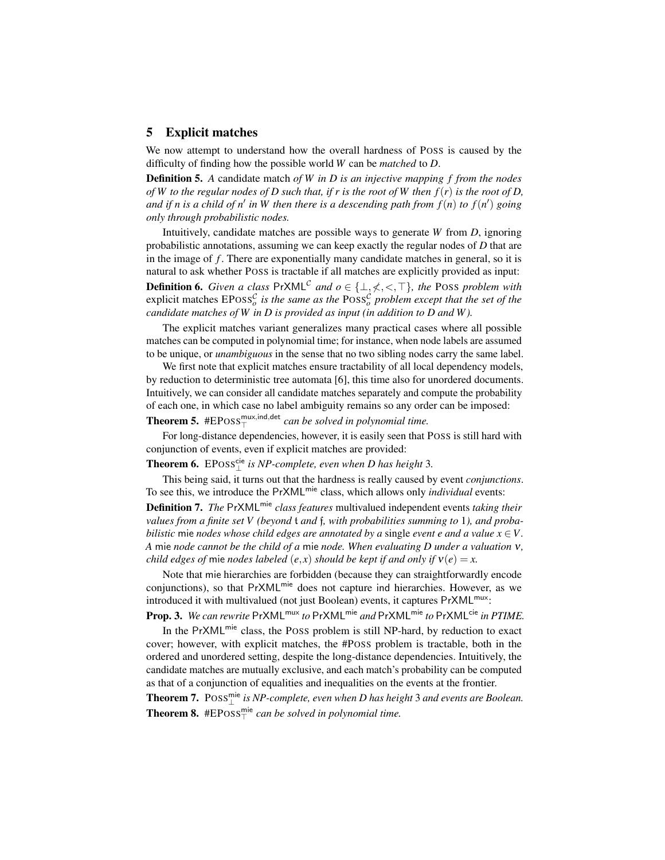### <span id="page-4-0"></span>5 Explicit matches

We now attempt to understand how the overall hardness of POSS is caused by the difficulty of finding how the possible world *W* can be *matched* to *D*.

Definition 5. *A* candidate match *of W in D is an injective mapping f from the nodes of W to the regular nodes of D such that, if r is the root of W then f*(*r*) *is the root of D, and if n is a child of n' in W then there is a descending path from*  $f(n)$  *to*  $f(n')$  going *only through probabilistic nodes.*

Intuitively, candidate matches are possible ways to generate *W* from *D*, ignoring probabilistic annotations, assuming we can keep exactly the regular nodes of *D* that are in the image of *f*. There are exponentially many candidate matches in general, so it is natural to ask whether POSS is tractable if all matches are explicitly provided as input: **Definition 6.** *Given a class*  $PrXML^{\mathcal{C}}$  *and*  $o \in \{\perp, \neq, \leq, \top\}$ *, the* POSS *problem with* explicit matches  $EPoss^{\mathcal{C}}_{o}$  *is the same as the*  $Poss^{\mathcal{C}}_{o}$  *problem except that the set of the candidate matches of W in D is provided as input (in addition to D and W ).*

The explicit matches variant generalizes many practical cases where all possible matches can be computed in polynomial time; for instance, when node labels are assumed to be unique, or *unambiguous* in the sense that no two sibling nodes carry the same label.

We first note that explicit matches ensure tractability of all local dependency models, by reduction to deterministic tree automata [\[6\]](#page-5-7), this time also for unordered documents. Intuitively, we can consider all candidate matches separately and compute the probability of each one, in which case no label ambiguity remains so any order can be imposed: **Theorem 5.**  $#EPoss_{\top}^{mix,ind,det}$  *can be solved in polynomial time.* 

<span id="page-4-1"></span>For long-distance dependencies, however, it is easily seen that POSS is still hard with conjunction of events, even if explicit matches are provided:

<span id="page-4-2"></span>**Theorem 6.**  $EPoss_{\perp}^{cie}$  is NP-complete, even when D has height 3.

This being said, it turns out that the hardness is really caused by event *conjunctions*. To see this, we introduce the PrXML<sup>mie</sup> class, which allows only *individual* events:

**Definition 7.** *The* PrXML<sup>mie</sup> *class features* multivalued independent events *taking their values from a finite set V (beyond* t *and* f*, with probabilities summing to* 1*), and probabilistic* mie *nodes whose child edges are annotated by a single <i>event e and a value*  $x \in V$ . *A* mie *node cannot be the child of a* mie *node. When evaluating D under a valuation* ν*, child edges of* mie *nodes labeled*  $(e, x)$  *should be kept if and only if*  $v(e) = x$ .

Note that mie hierarchies are forbidden (because they can straightforwardly encode conjunctions), so that PrXML<sup>mie</sup> does not capture ind hierarchies. However, as we introduced it with multivalued (not just Boolean) events, it captures PrXML<sup>mux</sup>:

Prop. 3. *We can rewrite* PrXML<sup>mux</sup> to PrXML<sup>mie</sup> and PrXML<sup>mie</sup> to PrXML<sup>cie</sup> in PTIME.

In the PrXML<sup>mie</sup> class, the POSS problem is still NP-hard, by reduction to exact cover; however, with explicit matches, the #POSS problem is tractable, both in the ordered and unordered setting, despite the long-distance dependencies. Intuitively, the candidate matches are mutually exclusive, and each match's probability can be computed as that of a conjunction of equalities and inequalities on the events at the frontier.

<span id="page-4-4"></span><span id="page-4-3"></span>**Theorem 7.**  $\text{Poss}_{\perp}^{\text{mie}}$  is NP-complete, even when D has height 3 and events are Boolean. **Theorem 8.**  $#EPoss_{\top}^{mie}$  *can be solved in polynomial time.*